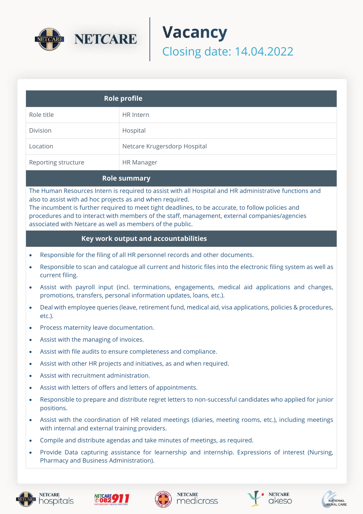

# **Vacancy** Closing date: 14.04.2022

| <b>Role profile</b> |                              |
|---------------------|------------------------------|
| Role title          | HR Intern                    |
| Division            | Hospital                     |
| Location            | Netcare Krugersdorp Hospital |
| Reporting structure | <b>HR Manager</b>            |

## **Role summary**

The Human Resources Intern is required to assist with all Hospital and HR administrative functions and also to assist with ad hoc projects as and when required.

The incumbent is further required to meet tight deadlines, to be accurate, to follow policies and procedures and to interact with members of the staff, management, external companies/agencies associated with Netcare as well as members of the public.

#### **Key work output and accountabilities**

- Responsible for the filing of all HR personnel records and other documents.
- Responsible to scan and catalogue all current and historic files into the electronic filing system as well as current filing.
- Assist with payroll input (incl. terminations, engagements, medical aid applications and changes, promotions, transfers, personal information updates, loans, etc.).
- Deal with employee queries (leave, retirement fund, medical aid, visa applications, policies & procedures, etc.).
- Process maternity leave documentation.
- Assist with the managing of invoices.
- Assist with file audits to ensure completeness and compliance.
- Assist with other HR projects and initiatives, as and when required.
- Assist with recruitment administration.
- Assist with letters of offers and letters of appointments.
- Responsible to prepare and distribute regret letters to non-successful candidates who applied for junior positions.
- Assist with the coordination of HR related meetings (diaries, meeting rooms, etc.), including meetings with internal and external training providers.
- Compile and distribute agendas and take minutes of meetings, as required.
- Provide Data capturing assistance for learnership and internship. Expressions of interest (Nursing, Pharmacy and Business Administration).



hospitals









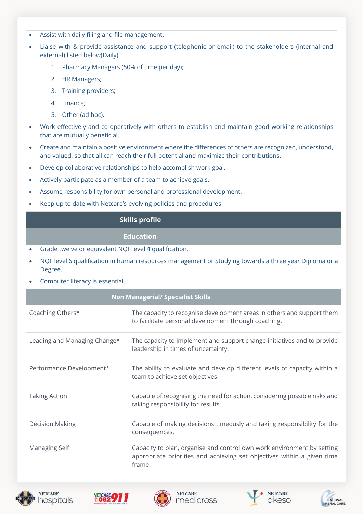- Assist with daily filing and file management.
- Liaise with & provide assistance and support (telephonic or email) to the stakeholders (internal and external) listed below(Daily):
	- 1. Pharmacy Managers (50% of time per day);
	- 2. HR Managers;
	- 3. Training providers;
	- 4. Finance;
	- 5. Other (ad hoc).
- Work effectively and co-operatively with others to establish and maintain good working relationships that are mutually beneficial.
- Create and maintain a positive environment where the differences of others are recognized, understood, and valued, so that all can reach their full potential and maximize their contributions.
- Develop collaborative relationships to help accomplish work goal.
- Actively participate as a member of a team to achieve goals.
- Assume responsibility for own personal and professional development.
- Keep up to date with Netcare's evolving policies and procedures.

# **Skills profile**

## **Education**

- Grade twelve or equivalent NQF level 4 qualification.
- NQF level 6 qualification in human resources management or Studying towards a three year Diploma or a Degree.
- Computer literacy is essential.

| <b>Non Managerial/ Specialist Skills</b> |                                                                                                                                                             |  |
|------------------------------------------|-------------------------------------------------------------------------------------------------------------------------------------------------------------|--|
| Coaching Others*                         | The capacity to recognise development areas in others and support them<br>to facilitate personal development through coaching.                              |  |
| Leading and Managing Change*             | The capacity to implement and support change initiatives and to provide<br>leadership in times of uncertainty.                                              |  |
| Performance Development*                 | The ability to evaluate and develop different levels of capacity within a<br>team to achieve set objectives.                                                |  |
| <b>Taking Action</b>                     | Capable of recognising the need for action, considering possible risks and<br>taking responsibility for results.                                            |  |
| <b>Decision Making</b>                   | Capable of making decisions timeously and taking responsibility for the<br>consequences.                                                                    |  |
| Managing Self                            | Capacity to plan, organise and control own work environment by setting<br>appropriate priorities and achieving set objectives within a given time<br>frame. |  |









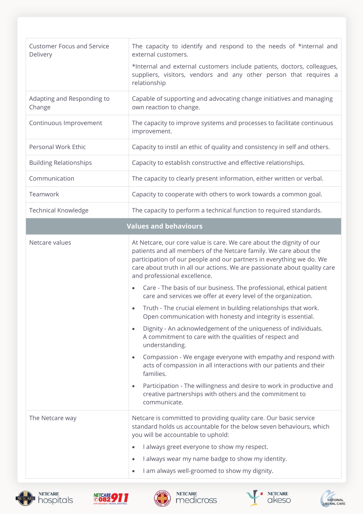| <b>Customer Focus and Service</b><br>Delivery | The capacity to identify and respond to the needs of *internal and<br>external customers.<br>*Internal and external customers include patients, doctors, colleagues,<br>suppliers, visitors, vendors and any other person that requires a                                                                                                                                                                                                                                                                                                                                                                                                                                                                                                                                                                                                                                                                                                                                                                                                                                                                                        |  |
|-----------------------------------------------|----------------------------------------------------------------------------------------------------------------------------------------------------------------------------------------------------------------------------------------------------------------------------------------------------------------------------------------------------------------------------------------------------------------------------------------------------------------------------------------------------------------------------------------------------------------------------------------------------------------------------------------------------------------------------------------------------------------------------------------------------------------------------------------------------------------------------------------------------------------------------------------------------------------------------------------------------------------------------------------------------------------------------------------------------------------------------------------------------------------------------------|--|
|                                               | relationship                                                                                                                                                                                                                                                                                                                                                                                                                                                                                                                                                                                                                                                                                                                                                                                                                                                                                                                                                                                                                                                                                                                     |  |
| Adapting and Responding to<br>Change          | Capable of supporting and advocating change initiatives and managing<br>own reaction to change.                                                                                                                                                                                                                                                                                                                                                                                                                                                                                                                                                                                                                                                                                                                                                                                                                                                                                                                                                                                                                                  |  |
| Continuous Improvement                        | The capacity to improve systems and processes to facilitate continuous<br>improvement.                                                                                                                                                                                                                                                                                                                                                                                                                                                                                                                                                                                                                                                                                                                                                                                                                                                                                                                                                                                                                                           |  |
| Personal Work Ethic                           | Capacity to instil an ethic of quality and consistency in self and others.                                                                                                                                                                                                                                                                                                                                                                                                                                                                                                                                                                                                                                                                                                                                                                                                                                                                                                                                                                                                                                                       |  |
| <b>Building Relationships</b>                 | Capacity to establish constructive and effective relationships.                                                                                                                                                                                                                                                                                                                                                                                                                                                                                                                                                                                                                                                                                                                                                                                                                                                                                                                                                                                                                                                                  |  |
| Communication                                 | The capacity to clearly present information, either written or verbal.                                                                                                                                                                                                                                                                                                                                                                                                                                                                                                                                                                                                                                                                                                                                                                                                                                                                                                                                                                                                                                                           |  |
| Teamwork                                      | Capacity to cooperate with others to work towards a common goal.                                                                                                                                                                                                                                                                                                                                                                                                                                                                                                                                                                                                                                                                                                                                                                                                                                                                                                                                                                                                                                                                 |  |
| <b>Technical Knowledge</b>                    | The capacity to perform a technical function to required standards.                                                                                                                                                                                                                                                                                                                                                                                                                                                                                                                                                                                                                                                                                                                                                                                                                                                                                                                                                                                                                                                              |  |
| <b>Values and behaviours</b>                  |                                                                                                                                                                                                                                                                                                                                                                                                                                                                                                                                                                                                                                                                                                                                                                                                                                                                                                                                                                                                                                                                                                                                  |  |
| Netcare values                                | At Netcare, our core value is care. We care about the dignity of our<br>patients and all members of the Netcare family. We care about the<br>participation of our people and our partners in everything we do. We<br>care about truth in all our actions. We are passionate about quality care<br>and professional excellence.<br>Care - The basis of our business. The professional, ethical patient<br>$\bullet$<br>care and services we offer at every level of the organization.<br>Truth - The crucial element in building relationships that work.<br>$\bullet$<br>Open communication with honesty and integrity is essential.<br>Dignity - An acknowledgement of the uniqueness of individuals.<br>$\bullet$<br>A commitment to care with the qualities of respect and<br>understanding.<br>Compassion - We engage everyone with empathy and respond with<br>$\bullet$<br>acts of compassion in all interactions with our patients and their<br>families.<br>Participation - The willingness and desire to work in productive and<br>$\bullet$<br>creative partnerships with others and the commitment to<br>communicate. |  |
| The Netcare way                               | Netcare is committed to providing quality care. Our basic service<br>standard holds us accountable for the below seven behaviours, which<br>you will be accountable to uphold:<br>I always greet everyone to show my respect.<br>I always wear my name badge to show my identity.<br>$\bullet$<br>I am always well-groomed to show my dignity.<br>$\bullet$                                                                                                                                                                                                                                                                                                                                                                                                                                                                                                                                                                                                                                                                                                                                                                      |  |









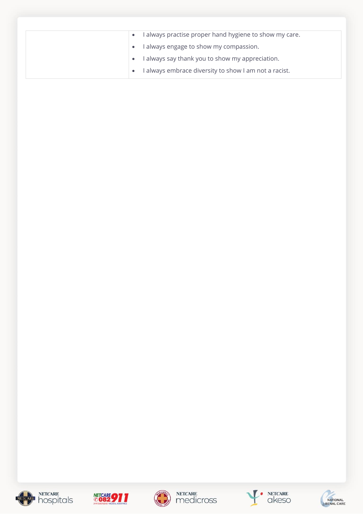| • I always practise proper hand hygiene to show my care. |
|----------------------------------------------------------|
| I always engage to show my compassion.<br>$\bullet$      |
| • I always say thank you to show my appreciation.        |
| always embrace diversity to show I am not a racist.      |